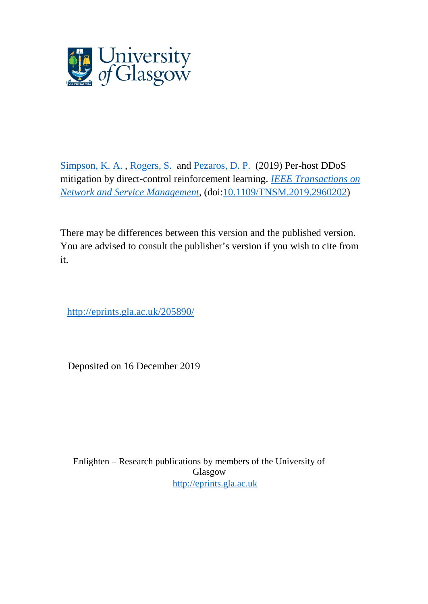

[Simpson, K. A.](http://eprints.gla.ac.uk/view/author/38321.html) , [Rogers, S.](http://eprints.gla.ac.uk/view/author/11628.html) and [Pezaros, D. P.](http://eprints.gla.ac.uk/view/author/5079.html) (2019) Per-host DDoS mitigation by direct-control reinforcement learning. *[IEEE Transactions on](http://eprints.gla.ac.uk/view/journal_volume/IEEE_Transactions_on_Network_and_Service_Management.html)  [Network and Service Management](http://eprints.gla.ac.uk/view/journal_volume/IEEE_Transactions_on_Network_and_Service_Management.html)*, (doi[:10.1109/TNSM.2019.2960202\)](http://dx.doi.org/10.1109/TNSM.2019.2960202)

There may be differences between this version and the published version. You are advised to consult the publisher's version if you wish to cite from it.

<http://eprints.gla.ac.uk/205890/>

Deposited on 16 December 2019

Enlighten – Research publications by members of the University of Glasgow [http://eprints.gla.ac.uk](http://eprints.gla.ac.uk/)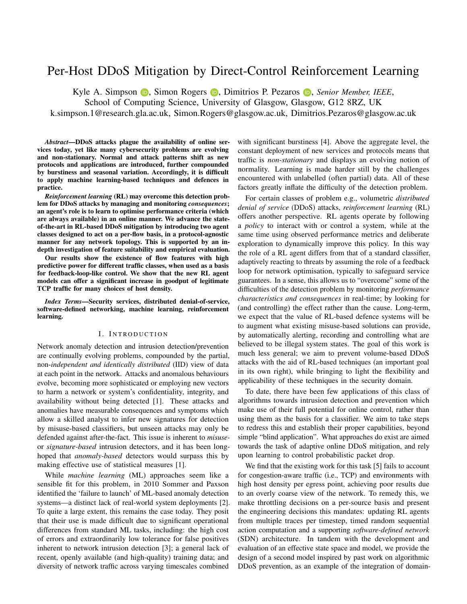# Per-Host DDoS Mitigation by Direct-Control Reinforcement Learning

Kyle A. Simpson **D**[,](https://orcid.org/0000-0003-0939-378X) Simon Rogers **D**, Dimitrios P. Pezaros **D**, *Senior Member, IEEE*,

School of Computing Science, University of Glasgow, Glasgow, G12 8RZ, UK

[k.simpson.1@research.gla.ac.uk,](mailto:k.simpson.1@research.gla.ac.uk) [Simon.Rogers@glasgow.ac.uk,](mailto:Simon.Rogers@glasgow.ac.uk) [Dimitrios.Pezaros@glasgow.ac.uk](mailto:Dimitrios.Pezaros@glasgow.ac.uk)

*Abstract*—DDoS attacks plague the availability of online services today, yet like many cybersecurity problems are evolving and non-stationary. Normal and attack patterns shift as new protocols and applications are introduced, further compounded by burstiness and seasonal variation. Accordingly, it is difficult to apply machine learning-based techniques and defences in practice.

*Reinforcement learning* (RL) may overcome this detection problem for DDoS attacks by managing and monitoring *consequences*; an agent's role is to learn to optimise performance criteria (which are always available) in an online manner. We advance the stateof-the-art in RL-based DDoS mitigation by introducing two agent classes designed to act on a per-flow basis, in a protocol-agnostic manner for any network topology. This is supported by an indepth investigation of feature suitability and empirical evaluation.

Our results show the existence of flow features with high predictive power for different traffic classes, when used as a basis for feedback-loop-like control. We show that the new RL agent models can offer a significant increase in goodput of legitimate TCP traffic for many choices of host density.

*Index Terms*—Security services, distributed denial-of-service, software-defined networking, machine learning, reinforcement learning.

#### I. INTRODUCTION

Network anomaly detection and intrusion detection/prevention are continually evolving problems, compounded by the partial, non-*independent and identically distributed* (IID) view of data at each point in the network. Attacks and anomalous behaviours evolve, becoming more sophisticated or employing new vectors to harm a network or system's confidentiality, integrity, and availability without being detected [\[1\]](#page-13-0). These attacks and anomalies have measurable consequences and symptoms which allow a skilled analyst to infer new signatures for detection by misuse-based classifiers, but unseen attacks may only be defended against after-the-fact. This issue is inherent to *misuse*or *signature-based* intrusion detectors, and it has been longhoped that *anomaly-based* detectors would surpass this by making effective use of statistical measures [\[1\]](#page-13-0).

While *machine learning* (ML) approaches seem like a sensible fit for this problem, in 2010 Sommer and Paxson identified the 'failure to launch' of ML-based anomaly detection systems—a distinct lack of real-world system deployments [\[2\]](#page-13-1). To quite a large extent, this remains the case today. They posit that their use is made difficult due to significant operational differences from standard ML tasks, including: the high cost of errors and extraordinarily low tolerance for false positives inherent to network intrusion detection [\[3\]](#page-13-2); a general lack of recent, openly available (and high-quality) training data; and diversity of network traffic across varying timescales combined

with significant burstiness [\[4\]](#page-13-3). Above the aggregate level, the constant deployment of new services and protocols means that traffic is *non-stationary* and displays an evolving notion of normality. Learning is made harder still by the challenges encountered with unlabelled (often partial) data. All of these factors greatly inflate the difficulty of the detection problem.

For certain classes of problem e.g., volumetric *distributed denial of service* (DDoS) attacks, *reinforcement learning* (RL) offers another perspective. RL agents operate by following a *policy* to interact with or control a system, while at the same time using observed performance metrics and deliberate exploration to dynamically improve this policy. In this way the role of a RL agent differs from that of a standard classifier, adaptively reacting to threats by assuming the role of a feedback loop for network optimisation, typically to safeguard service guarantees. In a sense, this allows us to "overcome" some of the difficulties of the detection problem by monitoring *performance characteristics and consequences* in real-time; by looking for (and controlling) the effect rather than the cause. Long-term, we expect that the value of RL-based defence systems will be to augment what existing misuse-based solutions can provide, by automatically alerting, recording and controlling what are believed to be illegal system states. The goal of this work is much less general; we aim to prevent volume-based DDoS attacks with the aid of RL-based techniques (an important goal in its own right), while bringing to light the flexibility and applicability of these techniques in the security domain.

To date, there have been few applications of this class of algorithms towards intrusion detection and prevention which make use of their full potential for online control, rather than using them as the basis for a classifier. We aim to take steps to redress this and establish their proper capabilities, beyond simple "blind application". What approaches do exist are aimed towards the task of adaptive online DDoS mitigation, and rely upon learning to control probabilistic packet drop.

We find that the existing work for this task [\[5\]](#page-13-4) fails to account for congestion-aware traffic (i.e., TCP) and environments with high host density per egress point, achieving poor results due to an overly coarse view of the network. To remedy this, we make throttling decisions on a per-source basis and present the engineering decisions this mandates: updating RL agents from multiple traces per timestep, timed random sequential action computation and a supporting *software-defined network* (SDN) architecture. In tandem with the development and evaluation of an effective state space and model, we provide the design of a second model inspired by past work on algorithmic DDoS prevention, as an example of the integration of domain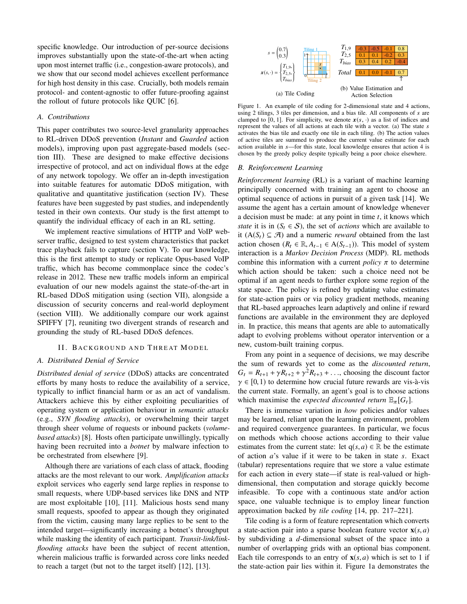specific knowledge. Our introduction of per-source decisions improves substantially upon the state-of-the-art when acting upon most internet traffic (i.e., congestion-aware protocols), and we show that our second model achieves excellent performance for high host density in this case. Crucially, both models remain protocol- and content-agnostic to offer future-proofing against the rollout of future protocols like QUIC [\[6\]](#page-13-5).

#### *A. Contributions*

This paper contributes two source-level granularity approaches to RL-driven DDoS prevention (*Instant* and *Guarded* action models), improving upon past aggregate-based models [\(sec](#page-4-0)[tion III\)](#page-4-0). These are designed to make effective decisions irrespective of protocol, and act on individual flows at the edge of any network topology. We offer an in-depth investigation into suitable features for automatic DDoS mitigation, with qualitative and quantitative justification [\(section IV\)](#page-6-0). These features have been suggested by past studies, and independently tested in their own contexts. Our study is the first attempt to quantify the individual efficacy of each in an RL setting.

We implement reactive simulations of HTTP and VoIP webserver traffic, designed to test system characteristics that packet trace playback fails to capture [\(section V\)](#page-7-0). To our knowledge, this is the first attempt to study or replicate Opus-based VoIP traffic, which has become commonplace since the codec's release in 2012. These new traffic models inform an empirical evaluation of our new models against the state-of-the-art in RL-based DDoS mitigation using [\(section VII\)](#page-9-0), alongside a discussion of security concerns and real-world deployment [\(section VIII\)](#page-10-0). We additionally compare our work against SPIFFY [\[7\]](#page-13-6), reuniting two divergent strands of research and grounding the study of RL-based DDoS defences.

#### II. BACKGROUND AND THREAT MODEL

# *A. Distributed Denial of Service*

*Distributed denial of service* (DDoS) attacks are concentrated efforts by many hosts to reduce the availability of a service, typically to inflict financial harm or as an act of vandalism. Attackers achieve this by either exploiting peculiarities of operating system or application behaviour in *semantic attacks* (e.g., *SYN flooding attacks*), or overwhelming their target through sheer volume of requests or inbound packets (*volumebased attacks*) [\[8\]](#page-13-7). Hosts often participate unwillingly, typically having been recruited into a *botnet* by malware infection to be orchestrated from elsewhere [\[9\]](#page-13-8).

Although there are variations of each class of attack, flooding attacks are the most relevant to our work. *Amplification attacks* exploit services who eagerly send large replies in response to small requests, where UDP-based services like DNS and NTP are most exploitable [\[10\]](#page-13-9), [\[11\]](#page-13-10). Malicious hosts send many small requests, spoofed to appear as though they originated from the victim, causing many large replies to be sent to the intended target—significantly increasing a botnet's throughput while masking the identity of each participant. *Transit-link/linkflooding attacks* have been the subject of recent attention, wherein malicious traffic is forwarded across core links needed to reach a target (but not to the target itself) [\[12\]](#page-13-11), [\[13\]](#page-13-12).

<span id="page-2-0"></span>

Figure 1. An example of tile coding for 2-dimensional state and 4 actions, using 2 tilings, 3 tiles per dimension, and a bias tile. All components of  $s$  are clamped to [0, 1]. For simplicity, we denote  $x(s, \cdot)$  as a list of indices and represent the values of all actions at each tile with a vector. (a) The state s activates the bias tile and exactly one tile in each tiling. (b) The action values of active tiles are summed to produce the current value estimate for each action available in s—for this state, local knowledge ensures that action 4 is chosen by the greedy policy despite typically being a poor choice elsewhere.

#### <span id="page-2-1"></span>*B. Reinforcement Learning*

*Reinforcement learning* (RL) is a variant of machine learning principally concerned with training an agent to choose an optimal sequence of actions in pursuit of a given task [\[14\]](#page-13-13). We assume the agent has a certain amount of knowledge whenever a decision must be made: at any point in time *t*, it knows which *state* it is in  $(S_t \in S)$ , the set of *actions* which are available to it  $(A(S_t) \subseteq \mathcal{A})$  and a numeric *reward* obtained from the last action chosen ( $R_t$  ∈ ℝ,  $A_{t-1}$  ∈ A( $S_{t-1}$ )). This model of system interaction is a *Markov Decision Process* (MDP). RL methods combine this information with a current *policy*  $\pi$  to determine which action should be taken: such a choice need not be optimal if an agent needs to further explore some region of the state space. The policy is refined by updating value estimates for state-action pairs or via policy gradient methods, meaning that RL-based approaches learn adaptively and online if reward functions are available in the environment they are deployed in. In practice, this means that agents are able to automatically adapt to evolving problems without operator intervention or a new, custom-built training corpus.

From any point in a sequence of decisions, we may describe the sum of rewards yet to come as the *discounted return*,  $G_t = R_{t+1} + \gamma R_{t+2} + \gamma^2 R_{t+3} + \dots$ , choosing the discount factor  $\gamma \in [0, 1)$  to determine how crucial future rewards are vis-à-vis the current state. Formally, an agent's goal is to choose actions which maximise the *expected discounted return*  $\mathbb{E}_{\pi}[G_t]$ .

There is immense variation in *how* policies and/or values may be learned, reliant upon the learning environment, problem and required convergence guarantees. In particular, we focus on methods which choose actions according to their value estimates from the current state: let  $q(s, a) \in \mathbb{R}$  be the estimate of action *a*'s value if it were to be taken in state *s*. Exact (tabular) representations require that we store a value estimate for each action in every state—if state is real-valued or highdimensional, then computation and storage quickly become infeasible. To cope with a continuous state and/or action space, one valuable technique is to employ linear function approximation backed by *tile coding* [\[14,](#page-13-13) pp. 217–221].

Tile coding is a form of feature representation which converts a state-action pair into a sparse boolean feature vector  $\mathbf{x}(s, a)$ by subdividing a *d*-dimensional subset of the space into a number of overlapping grids with an optional bias component. Each tile corresponds to an entry of  $\mathbf{x}(s, a)$  which is set to 1 if the state-action pair lies within it. [Figure 1a](#page-2-0) demonstrates the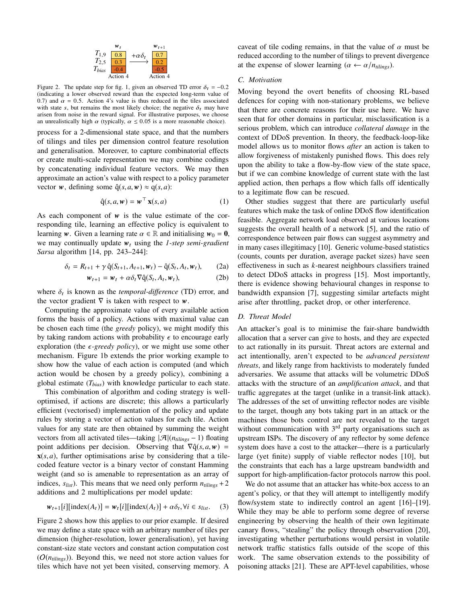

<span id="page-3-0"></span>Figure 2. The update step for [fig. 1,](#page-2-0) given an observed TD error  $\delta_t = -0.2$ (indicating a lower observed reward than the expected long-term value of 0.7) and  $\alpha = 0.5$ . Action 4's value is thus reduced in the tiles associated with state s, but remains the most likely choice; the negative  $\delta_t$  may have arisen from noise in the reward signal. For illustrative purposes, we choose an unrealistically high  $\alpha$  (typically,  $\alpha \leq 0.05$  is a more reasonable choice).

process for a 2-dimensional state space, and that the numbers of tilings and tiles per dimension control feature resolution and generalisation. Moreover, to capture combinatorial effects or create multi-scale representation we may combine codings by concatenating individual feature vectors. We may then approximate an action's value with respect to a policy parameter vector w, defining some  $\hat{q}(s, a, w) \approx q(s, a)$ :

$$
\hat{\mathbf{q}}(s, a, \mathbf{w}) = \mathbf{w}^{\top} \mathbf{x}(s, a)
$$
 (1)

As each component of  $w$  is the value estimate of the corresponding tile, learning an effective policy is equivalent to learning w. Given a learning rate  $\alpha \in \mathbb{R}$  and initialising  $w_0 = 0$ , we may continually update  $w_t$  using the *1-step semi-gradient Sarsa* algorithm [\[14,](#page-13-13) pp. 243–244]:

$$
\delta_t = R_{t+1} + \gamma \hat{q}(S_{t+1}, A_{t+1}, \mathbf{w}_t) - \hat{q}(S_t, A_t, \mathbf{w}_t), \tag{2a}
$$

$$
\mathbf{w}_{t+1} = \mathbf{w}_t + \alpha \delta_t \nabla \hat{\mathbf{q}}(S_t, A_t, \mathbf{w}_t), \tag{2b}
$$

where  $\delta_t$  is known as the *temporal-difference* (TD) error, and the vector gradient  $\nabla$  is taken with respect to  $\mathbf{w}$ the vector gradient  $\nabla$  is taken with respect to w.

Computing the approximate value of every available action forms the basis of a policy. Actions with maximal value can be chosen each time (the *greedy* policy), we might modify this by taking random actions with probability  $\epsilon$  to encourage early exploration (the  $\epsilon$ -greedy policy), or we might use some other mechanism. [Figure 1b](#page-2-0) extends the prior working example to show how the value of each action is computed (and which action would be chosen by a greedy policy), combining a global estimate (*Tbias*) with knowledge particular to each state.

This combination of algorithm and coding strategy is welloptimised, if actions are discrete; this allows a particularly efficient (vectorised) implementation of the policy and update rules by storing a vector of action values for each tile. Action values for any state are then obtained by summing the weight vectors from all activated tiles—taking  $|\mathcal{A}|(n_{tilings} - 1)$  floating point additions per decision. Observing that  $\nabla \hat{q}(s, a, w)$  = **, further optimisations arise by considering that a tile**coded feature vector is a binary vector of constant Hamming weight (and so is amenable to representation as an array of indices,  $s_{list}$ ). This means that we need only perform  $n_{tilines} + 2$ additions and 2 multiplications per model update:

$$
\mathbf{w}_{t+1}[i][\text{index}(A_t)] = \mathbf{w}_t[i][\text{index}(A_t)] + \alpha \delta_t, \forall i \in s_{list}.\tag{3}
$$

[Figure 2](#page-3-0) shows how this applies to our prior example. If desired we may define a state space with an arbitrary number of tiles per dimension (higher-resolution, lower generalisation), yet having constant-size state vectors and constant action computation cost (O(*ntilings*)). Beyond this, we need not store action values for tiles which have not yet been visited, conserving memory. A caveat of tile coding remains, in that the value of  $\alpha$  must be reduced according to the number of tilings to prevent divergence at the expense of slower learning ( $\alpha \leftarrow \alpha/n_{tilines}$ ).

#### <span id="page-3-2"></span>*C. Motivation*

Moving beyond the overt benefits of choosing RL-based defences for coping with non-stationary problems, we believe that there are concrete reasons for their use here. We have seen that for other domains in particular, misclassification is a serious problem, which can introduce *collateral damage* in the context of DDoS prevention. In theory, the feedback-loop-like model allows us to monitor flows *after* an action is taken to allow forgiveness of mistakenly punished flows. This does rely upon the ability to take a flow-by-flow view of the state space, but if we can combine knowledge of current state with the last applied action, then perhaps a flow which falls off identically to a legitimate flow can be rescued.

Other studies suggest that there are particularly useful features which make the task of online DDoS flow identification feasible. Aggregate network load observed at various locations suggests the overall health of a network [\[5\]](#page-13-4), and the ratio of correspondence between pair flows can suggest asymmetry and in many cases illegitimacy [\[10\]](#page-13-9). Generic volume-based statistics (counts, counts per duration, average packet sizes) have seen effectiveness in such as *k*-nearest neighbours classifiers trained to detect DDoS attacks in progress [\[15\]](#page-13-14). Most importantly, there is evidence showing behavioural changes in response to bandwidth expansion [\[7\]](#page-13-6), suggesting similar artefacts might arise after throttling, packet drop, or other interference.

# <span id="page-3-1"></span>*D. Threat Model*

An attacker's goal is to minimise the fair-share bandwidth allocation that a server can give to hosts, and they are expected to act rationally in its pursuit. Threat actors are external and act intentionally, aren't expected to be *advanced persistent threats*, and likely range from hacktivists to moderately funded adversaries. We assume that attacks will be volumetric DDoS attacks with the structure of an *amplification attack*, and that traffic aggregates at the target (unlike in a transit-link attack). The addresses of the set of unwitting reflector nodes are visible to the target, though any bots taking part in an attack or the machines those bots control are not revealed to the target without communication with  $3<sup>rd</sup>$  party organisations such as upstream ISPs. The discovery of any reflector by some defence system does have a cost to the attacker—there is a particularly large (yet finite) supply of viable reflector nodes [\[10\]](#page-13-9), but the constraints that each has a large upstream bandwidth and support for high-amplification-factor protocols narrow this pool.

We do not assume that an attacker has white-box access to an agent's policy, or that they will attempt to intelligently modify flow/system state to indirectly control an agent [\[16\]](#page-13-15)–[\[19\]](#page-14-0). While they may be able to perform some degree of reverse engineering by observing the health of their own legitimate canary flows, "stealing" the policy through observation [\[20\]](#page-14-1), investigating whether perturbations would persist in volatile network traffic statistics falls outside of the scope of this work. The same observation extends to the possibility of poisoning attacks [\[21\]](#page-14-2). These are APT-level capabilities, whose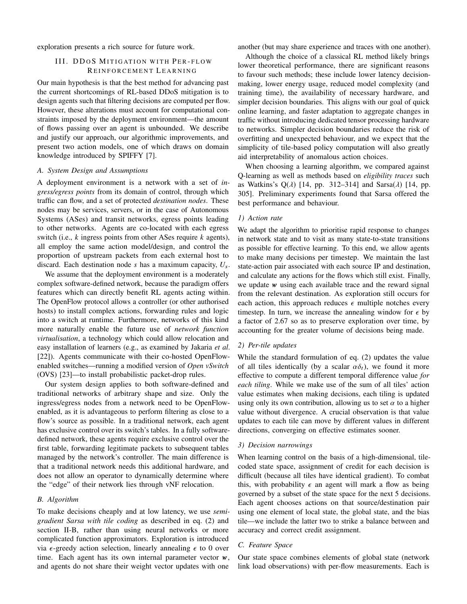<span id="page-4-0"></span>exploration presents a rich source for future work.

# III. DDOS MITIGATION WITH PER-FLOW REINFORCEMENT LEARNING

Our main hypothesis is that the best method for advancing past the current shortcomings of RL-based DDoS mitigation is to design agents such that filtering decisions are computed per flow. However, these alterations must account for computational constraints imposed by the deployment environment—the amount of flows passing over an agent is unbounded. We describe and justify our approach, our algorithmic improvements, and present two action models, one of which draws on domain knowledge introduced by SPIFFY [\[7\]](#page-13-6).

#### *A. System Design and Assumptions*

A deployment environment is a network with a set of *ingress/egress points* from its domain of control, through which traffic can flow, and a set of protected *destination nodes*. These nodes may be services, servers, or in the case of Autonomous Systems (ASes) and transit networks, egress points leading to other networks. Agents are co-located with each egress switch (i.e., *k* ingress points from other ASes require *k* agents), all employ the same action model/design, and control the proportion of upstream packets from each external host to discard. Each destination node *s* has a maximum capacity, *U*s.

We assume that the deployment environment is a moderately complex software-defined network, because the paradigm offers features which can directly benefit RL agents acting within. The OpenFlow protocol allows a controller (or other authorised hosts) to install complex actions, forwarding rules and logic into a switch at runtime. Furthermore, networks of this kind more naturally enable the future use of *network function virtualisation*, a technology which could allow relocation and easy installation of learners (e.g., as examined by Jakaria *et al*. [\[22\]](#page-14-3)). Agents communicate with their co-hosted OpenFlowenabled switches—running a modified version of *Open vSwitch* (OVS) [\[23\]](#page-14-4)—to install probabilistic packet-drop rules.

Our system design applies to both software-defined and traditional networks of arbitrary shape and size. Only the ingress/egress nodes from a network need to be OpenFlowenabled, as it is advantageous to perform filtering as close to a flow's source as possible. In a traditional network, each agent has exclusive control over its switch's tables. In a fully softwaredefined network, these agents require exclusive control over the first table, forwarding legitimate packets to subsequent tables managed by the network's controller. The main difference is that a traditional network needs this additional hardware, and does not allow an operator to dynamically determine where the "edge" of their network lies through vNF relocation.

# *B. Algorithm*

To make decisions cheaply and at low latency, we use *semigradient Sarsa with tile coding* as described in [eq. \(2\)](#page-3-1) and [section](#page-2-1) II-B, rather than using neural networks or more complicated function approximators. Exploration is introduced via  $\epsilon$ -greedy action selection, linearly annealing  $\epsilon$  to 0 over time. Each agent has its own internal parameter vector  $w$ , and agents do not share their weight vector updates with one

another (but may share experience and traces with one another).

Although the choice of a classical RL method likely brings lower theoretical performance, there are significant reasons to favour such methods; these include lower latency decisionmaking, lower energy usage, reduced model complexity (and training time), the availability of necessary hardware, and simpler decision boundaries. This aligns with our goal of quick online learning, and faster adaptation to aggregate changes in traffic without introducing dedicated tensor processing hardware to networks. Simpler decision boundaries reduce the risk of overfitting and unexpected behaviour, and we expect that the simplicity of tile-based policy computation will also greatly aid interpretability of anomalous action choices.

When choosing a learning algorithm, we compared against Q-learning as well as methods based on *eligibility traces* such as Watkins's Q( $\lambda$ ) [\[14,](#page-13-13) pp. 312–314] and Sarsa( $\lambda$ ) [14, pp. 305]. Preliminary experiments found that Sarsa offered the best performance and behaviour.

# *1) Action rate*

We adapt the algorithm to prioritise rapid response to changes in network state and to visit as many state-to-state transitions as possible for effective learning. To this end, we allow agents to make many decisions per timestep. We maintain the last state-action pair associated with each source IP and destination, and calculate any actions for the flows which still exist. Finally, we update w using each available trace and the reward signal from the relevant destination. As exploration still occurs for each action, this approach reduces  $\epsilon$  multiple notches every timestep. In turn, we increase the annealing window for  $\epsilon$  by a factor of 2.67 so as to preserve exploration over time, by accounting for the greater volume of decisions being made.

# *2) Per-tile updates*

While the standard formulation of [eq. \(2\)](#page-3-1) updates the value of all tiles identically (by a scalar  $\alpha \delta_t$ ), we found it more effective to compute a different temporal difference value *for each tiling*. While we make use of the sum of all tiles' action value estimates when making decisions, each tiling is updated using only its own contribution, allowing us to set  $\alpha$  to a higher value without divergence. A crucial observation is that value updates to each tile can move by different values in different directions, converging on effective estimates sooner.

# *3) Decision narrowings*

When learning control on the basis of a high-dimensional, tilecoded state space, assignment of credit for each decision is difficult (because all tiles have identical gradient). To combat this, with probability  $\epsilon$  an agent will mark a flow as being governed by a subset of the state space for the next 5 decisions. Each agent chooses actions on that source/destination pair using one element of local state, the global state, and the bias tile—we include the latter two to strike a balance between and accuracy and correct credit assignment.

# <span id="page-4-1"></span>*C. Feature Space*

Our state space combines elements of global state (network link load observations) with per-flow measurements. Each is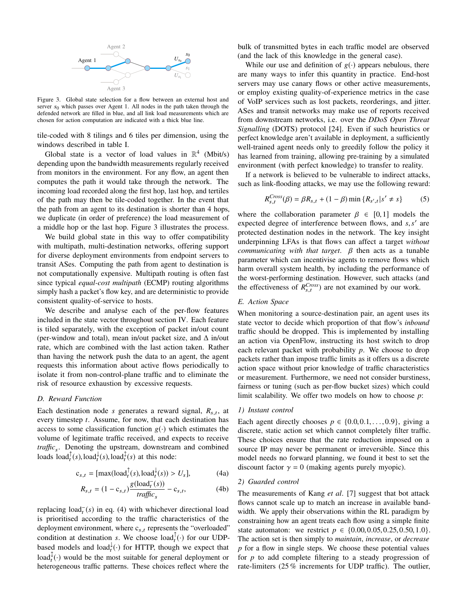<span id="page-5-0"></span>

Figure 3. Global state selection for a flow between an external host and server  $s_0$  which passes over Agent 1. All nodes in the path taken through the defended network are filled in blue, and all link load measurements which are chosen for action computation are indicated with a thick blue line.

tile-coded with 8 tilings and 6 tiles per dimension, using the windows described in [table I.](#page-7-1)

Global state is a vector of load values in  $\mathbb{R}^4$  (Mbit/s) depending upon the bandwidth measurements regularly received from monitors in the environment. For any flow, an agent then computes the path it would take through the network. The incoming load recorded along the first hop, last hop, and tertiles of the path may then be tile-coded together. In the event that the path from an agent to its destination is shorter than 4 hops, we duplicate (in order of preference) the load measurement of a middle hop or the last hop. [Figure 3](#page-5-0) illustrates the process.

We build global state in this way to offer compatibility with multipath, multi-destination networks, offering support for diverse deployment environments from endpoint servers to transit ASes. Computing the path from agent to destination is not computationally expensive. Multipath routing is often fast since typical *equal-cost multipath* (ECMP) routing algorithms simply hash a packet's flow key, and are deterministic to provide consistent quality-of-service to hosts.

We describe and analyse each of the per-flow features included in the state vector throughout [section IV.](#page-6-0) Each feature is tiled separately, with the exception of packet in/out count (per-window and total), mean in/out packet size, and  $\Delta$  in/out rate, which are combined with the last action taken. Rather than having the network push the data to an agent, the agent requests this information about active flows periodically to isolate it from non-control-plane traffic and to eliminate the risk of resource exhaustion by excessive requests.

# *D. Reward Function*

Each destination node *s* generates a reward signal,  $R_{s,t}$ , at a very time to a second for now that each destination has every timestep *t*. Assume, for now, that each destination has access to some classification function  $g(\cdot)$  which estimates the volume of legitimate traffic received, and expects to receive *traffic*<sup>s</sup> . Denoting the upstream, downstream and combined loads  $\text{load}_t^{\uparrow}(s)$ , load $_t^{\downarrow}(s)$ , load $_t^{\uparrow}(s)$  at this node:

$$
c_{s,t} = [\max(\text{load}_t^{\uparrow}(s), \text{load}_t^{\downarrow}(s)) > U_s],
$$
\n
$$
g(\text{load}_t^{\top}(s))
$$
\n(4a)

$$
R_{s,t} = (1 - c_{s,t}) \frac{g(\text{load}_t(s))}{\text{traffic}_s} - c_{s,t},\tag{4b}
$$

replacing  $load<sub>t</sub><sup>-</sup>(s)$  in [eq. \(4\)](#page-5-1) with whichever directional load is prioritised according to the traffic characteristics of the deployment environment, where  $c_{s,t}$  represents the "overloaded" condition at destination *s*. We choose load<sup> $\uparrow$ </sup>( $\cdot$ ) for our UDPbased models and load<sup> $\downarrow$ </sup>( $\cdot$ ) for HTTP, though we expect that load $_{t}^{\updownarrow}(\cdot)$  would be the most suitable for general deployment or heterogeneous traffic patterns. These choices reflect where the

bulk of transmitted bytes in each traffic model are observed (and the lack of this knowledge in the general case).

While our use and definition of  $g(\cdot)$  appears nebulous, there are many ways to infer this quantity in practice. End-host servers may use canary flows or other active measurements, or employ existing quality-of-experience metrics in the case of VoIP services such as lost packets, reorderings, and jitter. ASes and transit networks may make use of reports received from downstream networks, i.e. over the *DDoS Open Threat Signalling* (DOTS) protocol [\[24\]](#page-14-5). Even if such heuristics or perfect knowledge aren't available in deployment, a sufficiently well-trained agent needs only to greedily follow the policy it has learned from training, allowing pre-training by a simulated environment (with perfect knowledge) to transfer to reality.

If a network is believed to be vulnerable to indirect attacks, such as link-flooding attacks, we may use the following reward:

<span id="page-5-2"></span>
$$
R_{s,t}^{Cross}(\beta) = \beta R_{s,t} + (1 - \beta) \min \{ R_{s',t} | s' \neq s \}
$$
 (5)

where the collaboration parameter  $\beta \in [0,1]$  models the expected degree of interference between flows, and  $s$ , $s'$  are<br>protected destination podes in the network. The key insight protected destination nodes in the network. The key insight underpinning LFAs is that flows can affect a target *without communicating with that target*. β then acts as a tunable parameter which can incentivise agents to remove flows which harm overall system health, by including the performance of the worst-performing destination. However, such attacks (and the effectiveness of  $R_{s,t}^{Cross}$  are not examined by our work.

# *E. Action Space*

When monitoring a source-destination pair, an agent uses its state vector to decide which proportion of that flow's *inbound* traffic should be dropped. This is implemented by installing an action via OpenFlow, instructing its host switch to drop each relevant packet with probability *p*. We choose to drop packets rather than impose traffic limits as it offers us a discrete action space without prior knowledge of traffic characteristics or measurement. Furthermore, we need not consider burstiness, fairness or tuning (such as per-flow bucket sizes) which could limit scalability. We offer two models on how to choose *p*:

#### *1) Instant control*

Each agent directly chooses  $p \in \{0.0, 0.1, \ldots, 0.9\}$ , giving a discrete, static action set which cannot completely filter traffic. These choices ensure that the rate reduction imposed on a source IP may never be permanent or irreversible. Since this model needs no forward planning, we found it best to set the discount factor  $\gamma = 0$  (making agents purely myopic).

# <span id="page-5-1"></span>*2) Guarded control*

The measurements of Kang *et al*. [\[7\]](#page-13-6) suggest that bot attack flows cannot scale up to match an increase in available bandwidth. We apply their observations within the RL paradigm by constraining how an agent treats each flow using a simple finite state automaton: we restrict  $p \in \{0.00, 0.05, 0.25, 0.50, 1.0\}.$ The action set is then simply to *maintain*, *increase*, or *decrease p* for a flow in single steps. We choose these potential values for *p* to add complete filtering to a steady progression of rate-limiters (25 % increments for UDP traffic). The outlier,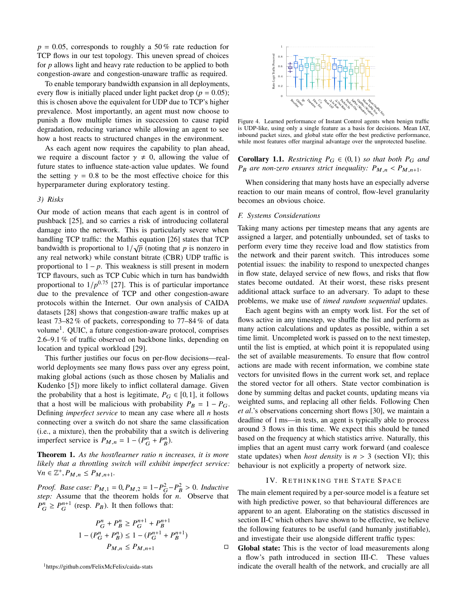$p = 0.05$ , corresponds to roughly a 50% rate reduction for TCP flows in our test topology. This uneven spread of choices for *p* allows light and heavy rate reduction to be applied to both congestion-aware and congestion-unaware traffic as required.

To enable temporary bandwidth expansion in all deployments, every flow is initially placed under light packet drop ( $p = 0.05$ ); this is chosen above the equivalent for UDP due to TCP's higher prevalence. Most importantly, an agent must now choose to punish a flow multiple times in succession to cause rapid degradation, reducing variance while allowing an agent to see how a host reacts to structured changes in the environment.

As each agent now requires the capability to plan ahead, we require a discount factor  $\gamma \neq 0$ , allowing the value of future states to influence state-action value updates. We found the setting  $\gamma = 0.8$  to be the most effective choice for this hyperparameter during exploratory testing.

# *3) Risks*

Our mode of action means that each agent is in control of pushback [\[25\]](#page-14-6), and so carries a risk of introducing collateral damage into the network. This is particularly severe when handling TCP traffic: the Mathis equation [\[26\]](#page-14-7) states that TCP bandwidth is proportional to  $1/\sqrt{p}$  (noting that *p* is nonzero in any real network) while constant bitrate (CBR) UDP traffic is proportional to  $1 - p$ . This weakness is still present in modern TCP flavours, such as TCP Cubic which in turn has bandwidth proportional to  $1/p^{0.75}$  [\[27\]](#page-14-8). This is of particular importance due to the prevalence of TCP and other congestion-aware protocols within the Internet. Our own analysis of CAIDA datasets [\[28\]](#page-14-9) shows that congestion-aware traffic makes up at least 73–82 % of packets, corresponding to 77–84 % of data volume<sup>[1](#page-6-1)</sup>. QUIC, a future congestion-aware protocol, comprises 2.6–9.1 % of traffic observed on backbone links, depending on location and typical workload [\[29\]](#page-14-10).

This further justifies our focus on per-flow decisions—realworld deployments see many flows pass over any egress point, making global actions (such as those chosen by Malialis and Kudenko [\[5\]](#page-13-4)) more likely to inflict collateral damage. Given the probability that a host is legitimate,  $P_G \in [0, 1]$ , it follows that a host will be malicious with probability  $P_B = 1 - P_G$ . Defining *imperfect service* to mean any case where all *n* hosts connecting over a switch do not share the same classification (i.e., a mixture), then the probability that a switch is delivering imperfect service is  $P_{M,n} = 1 - (P_G^n + P_B^n)$ .

Theorem 1. *As the host/learner ratio n increases, it is more likely that a throttling switch will exhibit imperfect service:*  $\forall n \in \mathbb{Z}^+, P_{M,n} \leq P_{M,n+1}.$ 

*Proof.* Base case:  $P_{M,1} = 0$ ,  $P_{M,2} = 1 - P_G^2 - P_B^2 > 0$ . *Inductive*<br>*sten:* Assume that the theorem holds for *n*. Observe that *step:* Assume that the theorem holds for *n*. Observe that  $P_G^n \geq P_G^{n+1}$  (resp.  $P_B$ ). It then follows that:

$$
P_G^n + P_B^n \ge P_G^{n+1} + P_B^{n+1}
$$
  
 
$$
1 - (P_G^n + P_B^n) \le 1 - (P_G^{n+1} + P_B^{n+1})
$$
  
 
$$
P_{M,n} \le P_{M,n+1} \qquad \qquad \Box
$$

<span id="page-6-1"></span><sup>1</sup><https://github.com/FelixMcFelix/caida-stats>

<span id="page-6-2"></span>

Figure 4. Learned performance of Instant Control agents when benign traffic is UDP-like, using only a single feature as a basis for decisions. Mean IAT, inbound packet sizes, and global state offer the best predictive performance, while most features offer marginal advantage over the unprotected baseline.

**Corollary 1.1.** *Restricting*  $P_G \in (0,1)$  *so that both*  $P_G$  *and*  $P_B$  *are non-zero ensures strict inequality:*  $P_{M,n} < P_{M,n+1}$ .

When considering that many hosts have an especially adverse reaction to our main means of control, flow-level granularity becomes an obvious choice.

#### <span id="page-6-3"></span>*F. Systems Considerations*

Taking many actions per timestep means that any agents are assigned a larger, and potentially unbounded, set of tasks to perform every time they receive load and flow statistics from the network and their parent switch. This introduces some potential issues: the inability to respond to unexpected changes in flow state, delayed service of new flows, and risks that flow states become outdated. At their worst, these risks present additional attack surface to an adversary. To adapt to these problems, we make use of *timed random sequential* updates.

Each agent begins with an empty work list. For the set of flows active in any timestep, we shuffle the list and perform as many action calculations and updates as possible, within a set time limit. Uncompleted work is passed on to the next timestep, until the list is emptied, at which point it is repopulated using the set of available measurements. To ensure that flow control actions are made with recent information, we combine state vectors for unvisited flows in the current work set, and replace the stored vector for all others. State vector combination is done by summing deltas and packet counts, updating means via weighted sums, and replacing all other fields. Following Chen *et al*.'s observations concerning short flows [\[30\]](#page-14-11), we maintain a deadline of 1 ms—in tests, an agent is typically able to process around 3 flows in this time. We expect this should be tuned based on the frequency at which statistics arrive. Naturally, this implies that an agent must carry work forward (and coalesce state updates) when *host density* is  $n > 3$  [\(section VI\)](#page-8-0); this behaviour is not explicitly a property of network size.

#### IV. RETHINKING THE STATE SPACE

<span id="page-6-0"></span>The main element required by a per-source model is a feature set with high predictive power, so that behavioural differences are apparent to an agent. Elaborating on the statistics discussed in [section](#page-3-2) II-C which others have shown to be effective, we believe the following features to be useful (and humanly justifiable), and investigate their use alongside different traffic types:

Global state: This is the vector of load measurements along a flow's path introduced in [section](#page-4-1) III-C. These values indicate the overall health of the network, and crucially are all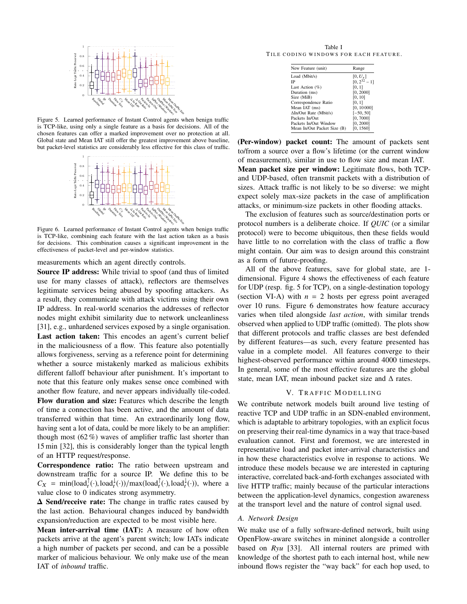<span id="page-7-2"></span>

Figure 5. Learned performance of Instant Control agents when benign traffic is TCP-like, using only a single feature as a basis for decisions. All of the chosen features can offer a marked improvement over no protection at all. Global state and Mean IAT still offer the greatest improvement above baseline, but packet-level statistics are considerably less effective for this class of traffic.

<span id="page-7-3"></span>

Figure 6. Learned performance of Instant Control agents when benign traffic is TCP-like, combining each feature with the last action taken as a basis for decisions. This combination causes a significant improvement in the effectiveness of packet-level and per-window statistics.

measurements which an agent directly controls.

Source IP address: While trivial to spoof (and thus of limited use for many classes of attack), reflectors are themselves legitimate services being abused by spoofing attackers. As a result, they communicate with attack victims using their own IP address. In real-world scenarios the addresses of reflector nodes might exhibit similarity due to network uncleanliness [\[31\]](#page-14-12), e.g., unhardened services exposed by a single organisation. Last action taken: This encodes an agent's current belief in the maliciousness of a flow. This feature also potentially allows forgiveness, serving as a reference point for determining whether a source mistakenly marked as malicious exhibits different falloff behaviour after punishment. It's important to note that this feature only makes sense once combined with another flow feature, and never appears individually tile-coded. Flow duration and size: Features which describe the length of time a connection has been active, and the amount of data transferred within that time. An extraordinarily long flow, having sent a lot of data, could be more likely to be an amplifier: though most  $(62\%)$  waves of amplifier traffic last shorter than 15 min [\[32\]](#page-14-13), this is considerably longer than the typical length of an HTTP request/response.

Correspondence ratio: The ratio between upstream and downstream traffic for a source IP. We define this to be  $C_X = \min(\text{load}_t^{\uparrow}(\cdot), \text{load}_t^{\downarrow}(\cdot))/\max(\text{load}_t^{\uparrow}(\cdot), \text{load}_t^{\downarrow}(\cdot)),$  where a value close to 0 indicates strong asymmetry value close to 0 indicates strong asymmetry.

**∆** Send/receive rate: The change in traffic rates caused by the last action. Behavioural changes induced by bandwidth expansion/reduction are expected to be most visible here.

Mean inter-arrival time (IAT): A measure of how often packets arrive at the agent's parent switch; low IATs indicate a high number of packets per second, and can be a possible marker of malicious behaviour. We only make use of the mean IAT of *inbound* traffic.

<span id="page-7-1"></span>Table I TILE CODING WINDOWS FOR EACH FEATURE.

| New Feature (unit)            | Range             |
|-------------------------------|-------------------|
| Load (Mbit/s)                 | $[0, U_s]$        |
| IP                            | $[0, 2^{32} - 1]$ |
| Last Action $(\%)$            | [0, 1]            |
| Duration (ms)                 | [0, 2000]         |
| Size (MiB)                    | [0, 10]           |
| Correspondence Ratio          | [0, 1]            |
| Mean IAT (ms)                 | [0, 10000]        |
| $\Delta In/Out$ Rate (Mbit/s) | $[-50, 50]$       |
| Packets In/Out                | [0, 7000]         |
| Packets In/Out Window         | [0, 2000]         |
| Mean In/Out Packet Size (B)   | [0, 1560]         |

(Per-window) packet count: The amount of packets sent to/from a source over a flow's lifetime (or the current window of measurement), similar in use to flow size and mean IAT. Mean packet size per window: Legitimate flows, both TCPand UDP-based, often transmit packets with a distribution of sizes. Attack traffic is not likely to be so diverse: we might expect solely max-size packets in the case of amplification attacks, or minimum-size packets in other flooding attacks.

The exclusion of features such as source/destination ports or protocol numbers is a deliberate choice. If *QUIC* (or a similar protocol) were to become ubiquitous, then these fields would have little to no correlation with the class of traffic a flow might contain. Our aim was to design around this constraint as a form of future-proofing.

All of the above features, save for global state, are 1 dimensional. [Figure 4](#page-6-2) shows the effectiveness of each feature for UDP (resp. [fig. 5](#page-7-2) for TCP), on a single-destination topology [\(section](#page-9-1) VI-A) with  $n = 2$  hosts per egress point averaged over 10 runs. [Figure 6](#page-7-3) demonstrates how feature accuracy varies when tiled alongside *last action*, with similar trends observed when applied to UDP traffic (omitted). The plots show that different protocols and traffic classes are best defended by different features—as such, every feature presented has value in a complete model. All features converge to their highest-observed performance within around 4000 timesteps. In general, some of the most effective features are the global state, mean IAT, mean inbound packet size and  $\Delta$  rates.

# V. TRAFFIC MODELLING

<span id="page-7-0"></span>We contribute network models built around live testing of reactive TCP and UDP traffic in an SDN-enabled environment, which is adaptable to arbitrary topologies, with an explicit focus on preserving their real-time dynamics in a way that trace-based evaluation cannot. First and foremost, we are interested in representative load and packet inter-arrival characteristics and in how these characteristics evolve in response to actions. We introduce these models because we are interested in capturing interactive, correlated back-and-forth exchanges associated with live HTTP traffic; mainly because of the particular interactions between the application-level dynamics, congestion awareness at the transport level and the nature of control signal used.

#### *A. Network Design*

We make use of a fully software-defined network, built using OpenFlow-aware switches in mininet alongside a controller based on *Ryu* [\[33\]](#page-14-14). All internal routers are primed with knowledge of the shortest path to each internal host, while new inbound flows register the "way back" for each hop used, to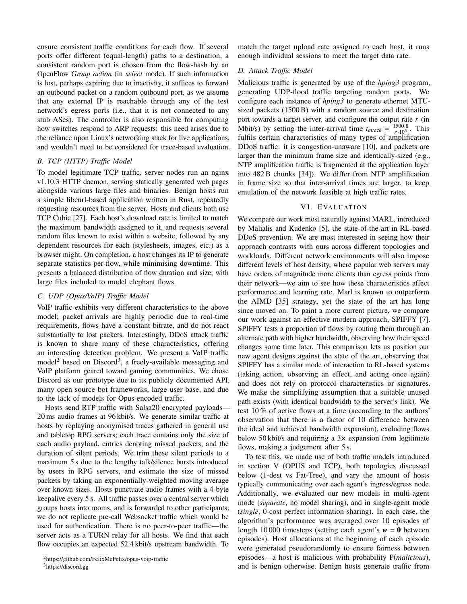ensure consistent traffic conditions for each flow. If several ports offer different (equal-length) paths to a destination, a consistent random port is chosen from the flow-hash by an OpenFlow *Group action* (in *select* mode). If such information is lost, perhaps expiring due to inactivity, it suffices to forward an outbound packet on a random outbound port, as we assume that any external IP is reachable through any of the test network's egress ports (i.e., that it is not connected to any stub ASes). The controller is also responsible for computing how switches respond to ARP requests: this need arises due to the reliance upon Linux's networking stack for live applications, and wouldn't need to be considered for trace-based evaluation.

# <span id="page-8-3"></span>*B. TCP (HTTP) Traffic Model*

To model legitimate TCP traffic, server nodes run an nginx v1.10.3 HTTP daemon, serving statically generated web pages alongside various large files and binaries. Benign hosts run a simple libcurl-based application written in Rust, repeatedly requesting resources from the server. Hosts and clients both use TCP Cubic [\[27\]](#page-14-8). Each host's download rate is limited to match the maximum bandwidth assigned to it, and requests several random files known to exist within a website, followed by any dependent resources for each (stylesheets, images, etc.) as a browser might. On completion, a host changes its IP to generate separate statistics per-flow, while minimising downtime. This presents a balanced distribution of flow duration and size, with large files included to model elephant flows.

# <span id="page-8-4"></span>*C. UDP (Opus/VoIP) Traffic Model*

VoIP traffic exhibits very different characteristics to the above model; packet arrivals are highly periodic due to real-time requirements, flows have a constant bitrate, and do not react substantially to lost packets. Interestingly, DDoS attack traffic is known to share many of these characteristics, offering an interesting detection problem. We present a VoIP traffic model<sup>[2](#page-8-1)</sup> based on Discord<sup>[3](#page-8-2)</sup>, a freely-available messaging and VoIP platform geared toward gaming communities. We chose Discord as our prototype due to its publicly documented API, many open source bot frameworks, large user base, and due to the lack of models for Opus-encoded traffic.

Hosts send RTP traffic with Salsa20 encrypted payloads— 20 ms audio frames at 96 kbit/s. We generate similar traffic at hosts by replaying anonymised traces gathered in general use and tabletop RPG servers; each trace contains only the size of each audio payload, entries denoting missed packets, and the duration of silent periods. We trim these silent periods to a maximum 5 s due to the lengthy talk/silence bursts introduced by users in RPG servers, and estimate the size of missed packets by taking an exponentially-weighted moving average over known sizes. Hosts punctuate audio frames with a 4-byte keepalive every 5 s. All traffic passes over a central server which groups hosts into rooms, and is forwarded to other participants; we do not replicate pre-call Websocket traffic which would be used for authentication. There is no peer-to-peer traffic—the server acts as a TURN relay for all hosts. We find that each flow occupies an expected 52.4 kbit/s upstream bandwidth. To

<span id="page-8-2"></span><sup>3</sup><https://discord.gg>

match the target upload rate assigned to each host, it runs enough individual sessions to meet the target data rate.

# <span id="page-8-5"></span>*D. Attack Traffic Model*

Malicious traffic is generated by use of the *hping3* program, generating UDP-flood traffic targeting random ports. We configure each instance of *hping3* to generate ethernet MTUsized packets (1500 B) with a random source and destination port towards a target server, and configure the output rate *r* (in Mbit/s) by setting the inter-arrival time  $t_{attack} = \frac{1500.8}{r \cdot 10^6}$ . This fulfils certain characteristics of many types of amplification DDoS traffic: it is congestion-unaware [\[10\]](#page-13-9), and packets are larger than the minimum frame size and identically-sized (e.g., NTP amplification traffic is fragmented at the application layer into 482 B chunks [\[34\]](#page-14-15)). We differ from NTP amplification in frame size so that inter-arrival times are larger, to keep emulation of the network feasible at high traffic rates.

#### VI. EVALUATION

<span id="page-8-0"></span>We compare our work most naturally against MARL, introduced by Malialis and Kudenko [\[5\]](#page-13-4), the state-of-the-art in RL-based DDoS prevention. We are most interested in seeing how their approach contrasts with ours across different topologies and workloads. Different network environments will also impose different levels of host density, where popular web servers may have orders of magnitude more clients than egress points from their network—we aim to see how these characteristics affect performance and learning rate. Marl is known to outperform the AIMD [\[35\]](#page-14-16) strategy, yet the state of the art has long since moved on. To paint a more current picture, we compare our work against an effective modern approach, SPIFFY [\[7\]](#page-13-6). SPIFFY tests a proportion of flows by routing them through an alternate path with higher bandwidth, observing how their speed changes some time later. This comparison lets us position our new agent designs against the state of the art, observing that SPIFFY has a similar mode of interaction to RL-based systems (taking action, observing an effect, and acting once again) and does not rely on protocol characteristics or signatures. We make the simplifying assumption that a suitable unused path exists (with identical bandwidth to the server's link). We test 10 % of active flows at a time (according to the authors' observation that there is a factor of 10 difference between the ideal and achieved bandwidth expansion), excluding flows below 50 kbit/s and requiring a  $3\times$  expansion from legitimate flows, making a judgement after 5 s.

To test this, we made use of both traffic models introduced in [section V](#page-7-0) (OPUS and TCP), both topologies discussed below (1-dest vs Fat-Tree), and vary the amount of hosts typically communicating over each agent's ingress/egress node. Additionally, we evaluated our new models in multi-agent mode (*separate*, no model sharing), and in single-agent mode (*single*, 0-cost perfect information sharing). In each case, the algorithm's performance was averaged over 10 episodes of length 10 000 timesteps (setting each agent's  $w = 0$  between episodes). Host allocations at the beginning of each episode were generated pseudorandomly to ensure fairness between episodes—a host is malicious with probability P(*malicious*), and is benign otherwise. Benign hosts generate traffic from

<span id="page-8-1"></span><sup>2</sup><https://github.com/FelixMcFelix/opus-voip-traffic>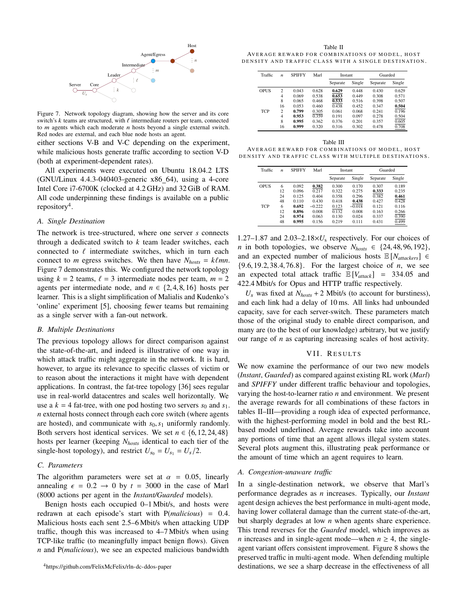<span id="page-9-3"></span>

Figure 7. Network topology diagram, showing how the server and its core switch's  $k$  teams are structured, with  $\ell$  intermediate routers per team, connected to *m* agents which each moderate *n* hosts beyond a single external switch. Red nodes are external, and each blue node hosts an agent.

either [sections](#page-8-3) V-B and [V-C](#page-8-4) depending on the experiment, while malicious hosts generate traffic according to [section](#page-8-5) V-D (both at experiment-dependent rates).

All experiments were executed on Ubuntu 18.04.2 LTS (GNU/Linux 4.4.3-040403-generic x86 64), using a 4-core Intel Core i7-6700K (clocked at 4.2 GHz) and 32 GiB of RAM. All code underpinning these findings is available on a public repository<sup>[4](#page-9-2)</sup>.

# <span id="page-9-1"></span>*A. Single Destination*

The network is tree-structured, where one server *s* connects through a dedicated switch to *k* team leader switches, each connected to  $\ell$  intermediate switches, which in turn each connect to *m* egress switches. We then have  $N_{hosts} = k\ell mn$ . [Figure 7](#page-9-3) demonstrates this. We configured the network topology using  $k = 2$  teams,  $\ell = 3$  intermediate nodes per team,  $m = 2$ agents per intermediate node, and  $n \in \{2, 4, 8, 16\}$  hosts per learner. This is a slight simplification of Malialis and Kudenko's 'online' experiment [\[5\]](#page-13-4), choosing fewer teams but remaining as a single server with a fan-out network.

#### *B. Multiple Destinations*

The previous topology allows for direct comparison against the state-of-the-art, and indeed is illustrative of one way in which attack traffic might aggregate in the network. It is hard, however, to argue its relevance to specific classes of victim or to reason about the interactions it might have with dependent applications. In contrast, the fat-tree topology [\[36\]](#page-14-17) sees regular use in real-world datacentres and scales well horizontally. We use a  $k = 4$  fat-tree, with one pod hosting two servers  $s_0$  and  $s_1$ . *n* external hosts connect through each core switch (where agents are hosted), and communicate with  $s_0$ ,  $s_1$  uniformly randomly. Both servers host identical services. We set  $n \in \{6, 12, 24, 48\}$ hosts per learner (keeping *Nhosts* identical to each tier of the single-host topology), and restrict  $U_{s_0} = U_{s_1} = U_s/2$ .

# *C. Parameters*

The algorithm parameters were set at  $\alpha = 0.05$ , linearly annealing  $\epsilon = 0.2 \rightarrow 0$  by  $t = 3000$  in the case of Marl (8000 actions per agent in the *Instant/Guarded* models).

<span id="page-9-2"></span>Benign hosts each occupied 0–1 Mbit/s, and hosts were redrawn at each episode's start with <sup>P</sup>(*malicious*) <sup>=</sup> <sup>0</sup>.4. Malicious hosts each sent 2.5–6 Mbit/s when attacking UDP traffic, though this was increased to 4–7 Mbit/s when using TCP-like traffic (to meaningfully impact benign flows). Given *n* and P(*malicious*), we see an expected malicious bandwidth

<span id="page-9-4"></span>Table II AVERAGE REWARD FOR COMBINATIONS OF MODEL, HOST DENSITY AND TRAFFIC CLASS WITH A SINGLE DESTINATION.

| Traffic    | $\boldsymbol{n}$ | <b>SPIFFY</b> | Marl  | Instant  |        | Guarded  |        |
|------------|------------------|---------------|-------|----------|--------|----------|--------|
|            |                  |               |       | Separate | Single | Separate | Single |
| OPUS       | 2                | 0.043         | 0.628 | 0.629    | 0.448  | 0.430    | 0.629  |
|            | 4                | 0.069         | 0.538 | 0.653    | 0.449  | 0.308    | 0.571  |
|            | 8                | 0.065         | 0.468 | 0.533    | 0.516  | 0.398    | 0.507  |
|            | 16               | 0.053         | 0.460 | 0.438    | 0.452  | 0.347    | 0.504  |
| <b>TCP</b> | $\overline{c}$   | 0.799         | 0.305 | 0.061    | 0.068  | 0.241    | 0.196  |
|            | 4                | 0.953         | 0.359 | 0.191    | 0.097  | 0.278    | 0.504  |
|            | 8                | 0.995         | 0.362 | 0.376    | 0.201  | 0.357    | 0.605  |
|            | 16               | 0.999         | 0.320 | 0.316    | 0.302  | 0.478    | 0.708  |

<span id="page-9-5"></span>Table III AVERAGE REWARD FOR COMBINATIONS OF MODEL, HOST DENSITY AND TRAFFIC CLASS WITH MULTIPLE DESTINATIONS.

| Traffic    | $\boldsymbol{n}$ | <b>SPIFFY</b> | Marl     | Instant  |          | Guarded  |        |
|------------|------------------|---------------|----------|----------|----------|----------|--------|
|            |                  |               |          | Separate | Single   | Separate | Single |
| OPUS       | 6                | 0.092         | 0.382    | 0.300    | 0.170    | 0.307    | 0.189  |
|            | 12               | 0.096         | 0.217    | 0.322    | 0.275    | 0.333    | 0.235  |
|            | 24               | 0.125         | 0.404    | 0.358    | 0.296    | 0.382    | 0.461  |
|            | 48               | 0.110         | 0.430    | 0.418    | 0.438    | 0.427    | 0.428  |
| <b>TCP</b> | 6                | 0.692         | $-0.222$ | 0.123    | $-0.018$ | 0.121    | 0.116  |
|            | 12               | 0.896         | 0.008    | 0.132    | 0.008    | 0.163    | 0.266  |
|            | 24               | 0.974         | 0.063    | 0.130    | 0.024    | 0.337    | 0.390  |
|            | 48               | 0.995         | 0.156    | 0.219    | 0.111    | 0.431    | 0.499  |

1.27–1.87 and  $2.03-2.18\times U_s$  respectively. For our choices of *n* in both topologies, we observe  $N_{hosts} \in \{24, 48, 96, 192\}$ , and an expected number of malicious hosts  $\mathbb{E}[N_{attackerS}] \in$ {9.6, <sup>19</sup>.2, <sup>38</sup>.4, <sup>76</sup>.8}. For the largest choice of *<sup>n</sup>*, we see an expected total attack traffic  $\mathbb{E}[V_{attack}]$  = 334.05 and 422.4 Mbit/s for Opus and HTTP traffic respectively.

 $U_s$  was fixed at  $N_{hosts}$  + 2 Mbit/s (to account for burstiness), and each link had a delay of 10 ms. All links had unbounded capacity, save for each server-switch. These parameters match those of the original study to enable direct comparison, and many are (to the best of our knowledge) arbitrary, but we justify our range of *n* as capturing increasing scales of host activity.

#### VII. RESULTS

<span id="page-9-0"></span>We now examine the performance of our two new models (*Instant*, *Guarded*) as compared against existing RL work (*Marl*) and *SPIFFY* under different traffic behaviour and topologies, varying the host-to-learner ratio *n* and environment. We present the average rewards for all combinations of these factors in [tables II–](#page-9-4)[III—](#page-9-5)providing a rough idea of expected performance, with the highest-performing model in bold and the best RLbased model underlined. Average rewards take into account any portions of time that an agent allows illegal system states. Several plots augment this, illustrating peak performance or the amount of time which an agent requires to learn.

#### *A. Congestion-unaware traffic*

In a single-destination network, we observe that Marl's performance degrades as *n* increases. Typically, our *Instant* agent design achieves the best performance in multi-agent mode, having lower collateral damage than the current state-of-the-art, but sharply degrades at low *n* when agents share experience. This trend reverses for the *Guarded* model, which improves as *n* increases and in single-agent mode—when  $n \geq 4$ , the singleagent variant offers consistent improvement. [Figure 8](#page-10-1) shows the preserved traffic in multi-agent mode. When defending multiple destinations, we see a sharp decrease in the effectiveness of all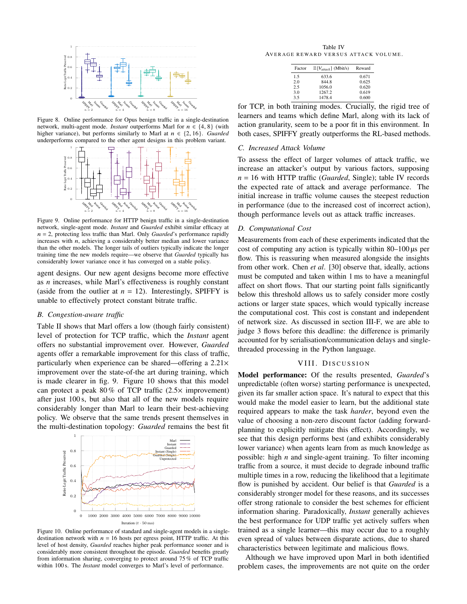<span id="page-10-1"></span>

<span id="page-10-2"></span>Figure 8. Online performance for Opus benign traffic in a single-destination network, multi-agent mode. *Instant* outperforms Marl for  $n \in \{4, 8\}$  (with higher variance), but performs similarly to Marl at  $n \in \{2, 16\}$ . *Guarded* underperforms compared to the other agent designs in this problem variant.



Figure 9. Online performance for HTTP benign traffic in a single-destination network, single-agent mode. *Instant* and *Guarded* exhibit similar efficacy at n = 2, protecting less traffic than Marl. Only *Guarded*'s performance rapidly increases with  $n$ , achieving a considerably better median and lower variance than the other models. The longer tails of outliers typically indicate the longer training time the new models require—we observe that *Guarded* typically has considerably lower variance once it has converged on a stable policy.

agent designs. Our new agent designs become more effective as *n* increases, while Marl's effectiveness is roughly constant (aside from the outlier at  $n = 12$ ). Interestingly, SPIFFY is unable to effectively protect constant bitrate traffic.

#### *B. Congestion-aware traffic*

[Table II](#page-9-4) shows that Marl offers a low (though fairly consistent) level of protection for TCP traffic, which the *Instant* agent offers no substantial improvement over. However, *Guarded* agents offer a remarkable improvement for this class of traffic, particularly when experience can be shared—offering a 2.21× improvement over the state-of-the art during training, which is made clearer in [fig. 9.](#page-10-2) [Figure 10](#page-10-3) shows that this model can protect a peak 80 % of TCP traffic (2.5× improvement) after just 100 s, but also that all of the new models require considerably longer than Marl to learn their best-achieving policy. We observe that the same trends present themselves in the multi-destination topology: *Guarded* remains the best fit

<span id="page-10-3"></span>

Figure 10. Online performance of standard and single-agent models in a singledestination network with  $n = 16$  hosts per egress point, HTTP traffic. At this level of host density, *Guarded* reaches higher peak performance sooner and is considerably more consistent throughout the episode. *Guarded* benefits greatly from information sharing, converging to protect around 75 % of TCP traffic within 100 s. The *Instant* model converges to Marl's level of performance.

<span id="page-10-4"></span>Table IV AVERAGE REWARD VERSUS ATTACK VOLUME.

| Factor | $\mathbb{E}[V_{attack}]$ (Mbit/s) | Reward |
|--------|-----------------------------------|--------|
| 1.5    | 633.6                             | 0.671  |
| 2.0    | 844.8                             | 0.625  |
| 2.5    | 1056.0                            | 0.620  |
| 3.0    | 1267.2                            | 0.619  |
| 3.5    | 1478.4                            | 0.600  |

for TCP, in both training modes. Crucially, the rigid tree of learners and teams which define Marl, along with its lack of action granularity, seem to be a poor fit in this environment. In both cases, SPIFFY greatly outperforms the RL-based methods.

#### *C. Increased Attack Volume*

To assess the effect of larger volumes of attack traffic, we increase an attacker's output by various factors, supposing *n* = 16 with HTTP traffic (*Guarded*, Single); [table IV](#page-10-4) records the expected rate of attack and average performance. The initial increase in traffic volume causes the steepest reduction in performance (due to the increased cost of incorrect action), though performance levels out as attack traffic increases.

#### *D. Computational Cost*

Measurements from each of these experiments indicated that the cost of computing any action is typically within 80–100 µs per flow. This is reassuring when measured alongside the insights from other work. Chen *et al*. [\[30\]](#page-14-11) observe that, ideally, actions must be computed and taken within 1 ms to have a meaningful affect on short flows. That our starting point falls significantly below this threshold allows us to safely consider more costly actions or larger state spaces, which would typically increase the computational cost. This cost is constant and independent of network size. As discussed in [section](#page-6-3) III-F, we are able to judge 3 flows before this deadline: the difference is primarily accounted for by serialisation/communication delays and singlethreaded processing in the Python language.

#### VIII. DISCUSSION

<span id="page-10-0"></span>Model performance: Of the results presented, *Guarded*'s unpredictable (often worse) starting performance is unexpected, given its far smaller action space. It's natural to expect that this would make the model easier to learn, but the additional state required appears to make the task *harder*, beyond even the value of choosing a non-zero discount factor (adding forwardplanning to explicitly mitigate this effect). Accordingly, we see that this design performs best (and exhibits considerably lower variance) when agents learn from as much knowledge as possible: high *n* and single-agent training. To filter incoming traffic from a source, it must decide to degrade inbound traffic multiple times in a row, reducing the likelihood that a legitimate flow is punished by accident. Our belief is that *Guarded* is a considerably stronger model for these reasons, and its successes offer strong rationale to consider the best schemes for efficient information sharing. Paradoxically, *Instant* generally achieves the best performance for UDP traffic yet actively suffers when trained as a single learner—this may occur due to a roughly even spread of values between disparate actions, due to shared characteristics between legitimate and malicious flows.

Although we have improved upon Marl in both identified problem cases, the improvements are not quite on the order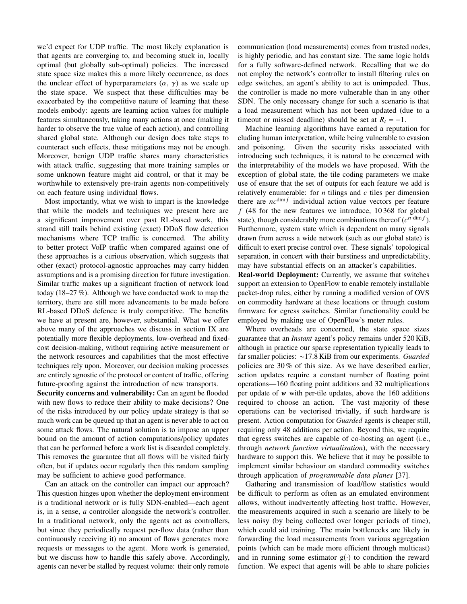we'd expect for UDP traffic. The most likely explanation is that agents are converging to, and becoming stuck in, locally optimal (but globally sub-optimal) policies. The increased state space size makes this a more likely occurrence, as does the unclear effect of hyperparameters  $(\alpha, \gamma)$  as we scale up the state space. We suspect that these difficulties may be exacerbated by the competitive nature of learning that these models embody: agents are learning action values for multiple features simultaneously, taking many actions at once (making it harder to observe the true value of each action), and controlling shared global state. Although our design does take steps to counteract such effects, these mitigations may not be enough. Moreover, benign UDP traffic shares many characteristics with attack traffic, suggesting that more training samples or some unknown feature might aid control, or that it may be worthwhile to extensively pre-train agents non-competitively on each feature using individual flows.

Most importantly, what we wish to impart is the knowledge that while the models and techniques we present here are a significant improvement over past RL-based work, this strand still trails behind existing (exact) DDoS flow detection mechanisms where TCP traffic is concerned. The ability to better protect VoIP traffic when compared against one of these approaches is a curious observation, which suggests that other (exact) protocol-agnostic approaches may carry hidden assumptions and is a promising direction for future investigation. Similar traffic makes up a significant fraction of network load today (18–27 %). Although we have conducted work to map the territory, there are still more advancements to be made before RL-based DDoS defence is truly competitive. The benefits we have at present are, however, substantial. What we offer above many of the approaches we discuss in [section IX](#page-12-0) are potentially more flexible deployments, low-overhead and fixedcost decision-making, without requiring active measurement or the network resources and capabilities that the most effective techniques rely upon. Moreover, our decision making processes are entirely agnostic of the protocol or content of traffic, offering future-proofing against the introduction of new transports.

Security concerns and vulnerability: Can an agent be flooded with new flows to reduce their ability to make decisions? One of the risks introduced by our policy update strategy is that so much work can be queued up that an agent is never able to act on some attack flows. The natural solution is to impose an upper bound on the amount of action computations/policy updates that can be performed before a work list is discarded completely. This removes the guarantee that all flows will be visited fairly often, but if updates occur regularly then this random sampling may be sufficient to achieve good performance.

Can an attack on the controller can impact our approach? This question hinges upon whether the deployment environment is a traditional network or is fully SDN-enabled—each agent is, in a sense, *a* controller alongside the network's controller. In a traditional network, only the agents act as controllers, but since they periodically request per-flow data (rather than continuously receiving it) no amount of flows generates more requests or messages to the agent. More work is generated, but we discuss how to handle this safely above. Accordingly, agents can never be stalled by request volume: their only remote

communication (load measurements) comes from trusted nodes, is highly periodic, and has constant size. The same logic holds for a fully software-defined network. Recalling that we do not employ the network's controller to install filtering rules on edge switches, an agent's ability to act is unimpeded. Thus, the controller is made no more vulnerable than in any other SDN. The only necessary change for such a scenario is that a load measurement which has not been updated (due to a timeout or missed deadline) should be set at  $R_t = -1$ .

Machine learning algorithms have earned a reputation for eluding human interpretation, while being vulnerable to evasion and poisoning. Given the security risks associated with introducing such techniques, it is natural to be concerned with the interpretability of the models we have proposed. With the exception of global state, the tile coding parameters we make use of ensure that the set of outputs for each feature we add is relatively enumerable: for *n* tilings and *c* tiles per dimension there are  $nc^{\dim f}$  individual action value vectors per feature *f* (48 for the new features we introduce, 10 368 for global state), though considerably more combinations thereof  $(c^{n \cdot \dim f})$ . Furthermore, system state which is dependent on many signals drawn from across a wide network (such as our global state) is difficult to exert precise control over. These signals' topological separation, in concert with their burstiness and unpredictability, may have substantial effects on an attacker's capabilities.

Real-world Deployment: Currently, we assume that switches support an extension to OpenFlow to enable remotely installable packet-drop rules, either by running a modified version of OVS on commodity hardware at these locations or through custom firmware for egress switches. Similar functionality could be employed by making use of OpenFlow's meter rules.

Where overheads are concerned, the state space sizes guarantee that an *Instant* agent's policy remains under 520 KiB, although in practice our sparse representation typically leads to far smaller policies: ∼17.8 KiB from our experiments. *Guarded* policies are 30 % of this size. As we have described earlier, action updates require a constant number of floating point operations—160 floating point additions and 32 multiplications per update of  $w$  with per-tile updates, above the 160 additions required to choose an action. The vast majority of these operations can be vectorised trivially, if such hardware is present. Action computation for *Guarded* agents is cheaper still, requiring only 48 additions per action. Beyond this, we require that egress switches are capable of co-hosting an agent (i.e., through *network function virtualisation*), with the necessary hardware to support this. We believe that it may be possible to implement similar behaviour on standard commodity switches through application of *programmable data planes* [\[37\]](#page-14-18).

Gathering and transmission of load/flow statistics would be difficult to perform as often as an emulated environment allows, without inadvertently affecting host traffic. However, the measurements acquired in such a scenario are likely to be less noisy (by being collected over longer periods of time), which could aid training. The main bottlenecks are likely in forwarding the load measurements from various aggregation points (which can be made more efficient through multicast) and in running some estimator  $g(\cdot)$  to condition the reward function. We expect that agents will be able to share policies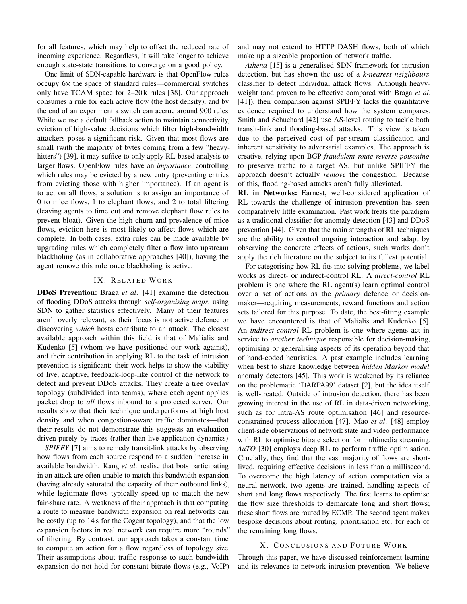for all features, which may help to offset the reduced rate of incoming experience. Regardless, it will take longer to achieve enough state-state transitions to converge on a good policy.

One limit of SDN-capable hardware is that OpenFlow rules occupy 6× the space of standard rules—commercial switches only have TCAM space for 2–20 k rules [\[38\]](#page-14-19). Our approach consumes a rule for each active flow (the host density), and by the end of an experiment a switch can accrue around 900 rules. While we use a default fallback action to maintain connectivity, eviction of high-value decisions which filter high-bandwidth attackers poses a significant risk. Given that most flows are small (with the majority of bytes coming from a few "heavy-hitters") [\[39\]](#page-14-20), it may suffice to only apply RL-based analysis to larger flows. OpenFlow rules have an *importance*, controlling which rules may be evicted by a new entry (preventing entries from evicting those with higher importance). If an agent is to act on all flows, a solution is to assign an importance of 0 to mice flows, 1 to elephant flows, and 2 to total filtering (leaving agents to time out and remove elephant flow rules to prevent bloat). Given the high churn and prevalence of mice flows, eviction here is most likely to affect flows which are complete. In both cases, extra rules can be made available by upgrading rules which completely filter a flow into upstream blackholing (as in collaborative approaches [\[40\]](#page-14-21)), having the agent remove this rule once blackholing is active.

# IX. RELATED WORK

<span id="page-12-0"></span>DDoS Prevention: Braga *et al*. [\[41\]](#page-14-22) examine the detection of flooding DDoS attacks through *self-organising maps*, using SDN to gather statistics effectively. Many of their features aren't overly relevant, as their focus is not active defence or discovering *which* hosts contribute to an attack. The closest available approach within this field is that of Malialis and Kudenko [\[5\]](#page-13-4) (whom we have positioned our work against), and their contribution in applying RL to the task of intrusion prevention is significant: their work helps to show the viability of live, adaptive, feedback-loop-like control of the network to detect and prevent DDoS attacks. They create a tree overlay topology (subdivided into teams), where each agent applies packet drop to *all* flows inbound to a protected server. Our results show that their technique underperforms at high host density and when congestion-aware traffic dominates—that their results do not demonstrate this suggests an evaluation driven purely by traces (rather than live application dynamics).

*SPIFFY* [\[7\]](#page-13-6) aims to remedy transit-link attacks by observing how flows from each source respond to a sudden increase in available bandwidth. Kang *et al*. realise that bots participating in an attack are often unable to match this bandwidth expansion (having already saturated the capacity of their outbound links), while legitimate flows typically speed up to match the new fair-share rate. A weakness of their approach is that computing a route to measure bandwidth expansion on real networks can be costly (up to 14 s for the Cogent topology), and that the low expansion factors in real network can require more "rounds" of filtering. By contrast, our approach takes a constant time to compute an action for a flow regardless of topology size. Their assumptions about traffic response to such bandwidth expansion do not hold for constant bitrate flows (e.g., VoIP)

and may not extend to HTTP DASH flows, both of which make up a sizeable proportion of network traffic.

*Athena* [\[15\]](#page-13-14) is a generalised SDN framework for intrusion detection, but has shown the use of a *k-nearest neighbours* classifier to detect individual attack flows. Although heavyweight (and proven to be effective compared with Braga *et al*. [\[41\]](#page-14-22)), their comparison against SPIFFY lacks the quantitative evidence required to understand how the system compares. Smith and Schuchard [\[42\]](#page-14-23) use AS-level routing to tackle both transit-link and flooding-based attacks. This view is taken due to the perceived cost of per-stream classification and inherent sensitivity to adversarial examples. The approach is creative, relying upon BGP *fraudulent route reverse poisoning* to preserve traffic to a target AS, but unlike SPIFFY the approach doesn't actually *remove* the congestion. Because of this, flooding-based attacks aren't fully alleviated.

RL in Networks: Earnest, well-considered application of RL towards the challenge of intrusion prevention has seen comparatively little examination. Past work treats the paradigm as a traditional classifier for anomaly detection [\[43\]](#page-14-24) and DDoS prevention [\[44\]](#page-14-25). Given that the main strengths of RL techniques are the ability to control ongoing interaction and adapt by observing the concrete effects of actions, such works don't apply the rich literature on the subject to its fullest potential.

For categorising how RL fits into solving problems, we label works as direct- or indirect-control RL. A *direct-control* RL problem is one where the RL agent(s) learn optimal control over a set of actions as the *primary* defence or decisionmaker—requiring measurements, reward functions and action sets tailored for this purpose. To date, the best-fitting example we have encountered is that of Malialis and Kudenko [\[5\]](#page-13-4). An *indirect-control* RL problem is one where agents act in service to *another technique* responsible for decision-making, optimising or generalising aspects of its operation beyond that of hand-coded heuristics. A past example includes learning when best to share knowledge between *hidden Markov model* anomaly detectors [\[45\]](#page-14-26). This work is weakened by its reliance on the problematic 'DARPA99' dataset [\[2\]](#page-13-1), but the idea itself is well-treated. Outside of intrusion detection, there has been growing interest in the use of RL in data-driven networking, such as for intra-AS route optimisation [\[46\]](#page-14-27) and resourceconstrained process allocation [\[47\]](#page-14-28). Mao *et al*. [\[48\]](#page-14-29) employ client-side observations of network state and video performance with RL to optimise bitrate selection for multimedia streaming. *AuTO* [\[30\]](#page-14-11) employs deep RL to perform traffic optimisation. Crucially, they find that the vast majority of flows are shortlived, requiring effective decisions in less than a millisecond. To overcome the high latency of action computation via a neural network, two agents are trained, handling aspects of short and long flows respectively. The first learns to optimise the flow size thresholds to demarcate long and short flows; these short flows are routed by ECMP. The second agent makes bespoke decisions about routing, prioritisation etc. for each of the remaining long flows.

#### X. CONCLUSIONS AND FUTURE WORK

Through this paper, we have discussed reinforcement learning and its relevance to network intrusion prevention. We believe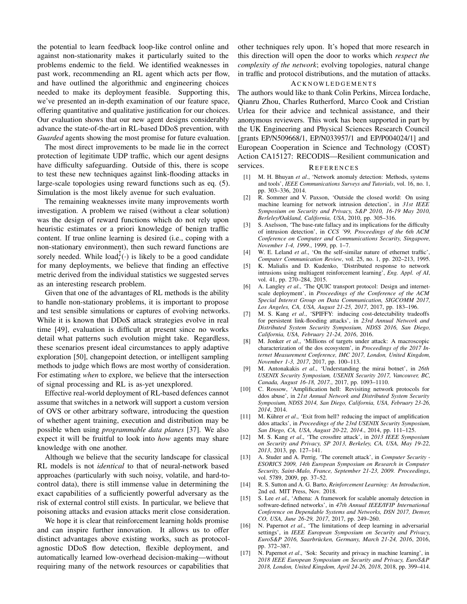the potential to learn feedback loop-like control online and against non-stationarity makes it particularly suited to the problems endemic to the field. We identified weaknesses in past work, recommending an RL agent which acts per flow, and have outlined the algorithmic and engineering choices needed to make its deployment feasible. Supporting this, we've presented an in-depth examination of our feature space, offering quantitative and qualitative justification for our choices. Our evaluation shows that our new agent designs considerably advance the state-of-the-art in RL-based DDoS prevention, with *Guarded* agents showing the most promise for future evaluation.

The most direct improvements to be made lie in the correct protection of legitimate UDP traffic, which our agent designs have difficulty safeguarding. Outside of this, there is scope to test these new techniques against link-flooding attacks in large-scale topologies using reward functions such as [eq. \(5\).](#page-5-2) Simulation is the most likely avenue for such evaluation.

The remaining weaknesses invite many improvements worth investigation. A problem we raised (without a clear solution) was the design of reward functions which do not rely upon heuristic estimates or a priori knowledge of benign traffic content. If true online learning is desired (i.e., coping with a non-stationary environment), then such reward functions are sorely needed. While  $load_t^{\{\!\!\{\right\}}(\cdot)$  is likely to be a good candidate for many deployments, we believe that finding an effective metric derived from the individual statistics we suggested serves as an interesting research problem.

Given that one of the advantages of RL methods is the ability to handle non-stationary problems, it is important to propose and test sensible simulations or captures of evolving networks. While it is known that DDoS attack strategies evolve in real time [\[49\]](#page-14-30), evaluation is difficult at present since no works detail what patterns such evolution might take. Regardless, these scenarios present ideal circumstances to apply adaptive exploration [\[50\]](#page-14-31), changepoint detection, or intelligent sampling methods to judge which flows are most worthy of consideration. For estimating *when* to explore, we believe that the intersection of signal processing and RL is as-yet unexplored.

Effective real-world deployment of RL-based defences cannot assume that switches in a network will support a custom version of OVS or other arbitrary software, introducing the question of whether agent training, execution and distribution may be possible when using *programmable data planes* [\[37\]](#page-14-18). We also expect it will be fruitful to look into *how* agents may share knowledge with one another.

Although we believe that the security landscape for classical RL models is not *identical* to that of neural-network based approaches (particularly with such noisy, volatile, and hard-tocontrol data), there is still immense value in determining the exact capabilities of a sufficiently powerful adversary as the risk of external control still exists. In particular, we believe that poisoning attacks and evasion attacks merit close consideration.

We hope it is clear that reinforcement learning holds promise and can inspire further innovation. It allows us to offer distinct advantages above existing works, such as protocolagnostic DDoS flow detection, flexible deployment, and automatically learned low-overhead decision-making—without requiring many of the network resources or capabilities that

other techniques rely upon. It's hoped that more research in this direction will open the door to works which *respect the complexity of the network*; evolving topologies, natural change in traffic and protocol distributions, and the mutation of attacks.

# **ACKNOWLEDGEMENTS**

The authors would like to thank Colin Perkins, Mircea Iordache, Qianru Zhou, Charles Rutherford, Marco Cook and Cristian Urlea for their advice and technical assistance, and their anonymous reviewers. This work has been supported in part by the UK Engineering and Physical Sciences Research Council [grants EP/N509668/1, EP/N033957/1 and EP/P004024/1] and European Cooperation in Science and Technology (COST) Action CA15127: RECODIS—Resilient communication and services. REFERENCES

- <span id="page-13-0"></span>[1] M. H. Bhuyan *et al*., 'Network anomaly detection: Methods, systems and tools', *IEEE Communications Surveys and Tutorials*, vol. 16, no. 1, pp. 303–336, 2014.
- <span id="page-13-1"></span>[2] R. Sommer and V. Paxson, 'Outside the closed world: On using machine learning for network intrusion detection', in *31st IEEE Symposium on Security and Privacy, S&P 2010, 16-19 May 2010, Berleley/Oakland, California, USA*, 2010, pp. 305–316.
- <span id="page-13-2"></span>[3] S. Axelsson, 'The base-rate fallacy and its implications for the difficulty of intrusion detection', in *CCS '99, Proceedings of the 6th ACM Conference on Computer and Communications Security, Singapore, November 1-4, 1999.*, 1999, pp. 1–7.
- <span id="page-13-3"></span>[4] W. E. Leland *et al*., 'On the self-similar nature of ethernet traffic', *Computer Communication Review*, vol. 25, no. 1, pp. 202–213, 1995.
- <span id="page-13-4"></span>[5] K. Malialis and D. Kudenko, 'Distributed response to network intrusions using multiagent reinforcement learning', *Eng. Appl. of AI*, vol. 41, pp. 270–284, 2015.
- <span id="page-13-5"></span>[6] A. Langley *et al*., 'The QUIC transport protocol: Design and internetscale deployment', in *Proceedings of the Conference of the ACM Special Interest Group on Data Communication, SIGCOMM 2017, Los Angeles, CA, USA, August 21-25, 2017*, 2017, pp. 183–196.
- <span id="page-13-6"></span>[7] M. S. Kang *et al*., 'SPIFFY: inducing cost-detectability tradeoffs for persistent link-flooding attacks', in *23rd Annual Network and Distributed System Security Symposium, NDSS 2016, San Diego, California, USA, February 21-24, 2016*, 2016.
- <span id="page-13-7"></span>[8] M. Jonker *et al*., 'Millions of targets under attack: A macroscopic characterization of the dos ecosystem', in *Proceedings of the 2017 Internet Measurement Conference, IMC 2017, London, United Kingdom, November 1-3, 2017*, 2017, pp. 100–113.
- <span id="page-13-8"></span>[9] M. Antonakakis *et al*., 'Understanding the mirai botnet', in *26th USENIX Security Symposium, USENIX Security 2017, Vancouver, BC, Canada, August 16-18, 2017.*, 2017, pp. 1093–1110.
- <span id="page-13-9"></span>[10] C. Rossow, 'Amplification hell: Revisiting network protocols for ddos abuse', in *21st Annual Network and Distributed System Security Symposium, NDSS 2014, San Diego, California, USA, February 23-26, 2014*, 2014.
- <span id="page-13-10"></span>[11] M. Kührer et al., 'Exit from hell? reducing the impact of amplification ddos attacks', in *Proceedings of the 23rd USENIX Security Symposium, San Diego, CA, USA, August 20-22, 2014.*, 2014, pp. 111–125.
- <span id="page-13-11"></span>[12] M. S. Kang *et al*., 'The crossfire attack', in *2013 IEEE Symposium on Security and Privacy, SP 2013, Berkeley, CA, USA, May 19-22, 2013*, 2013, pp. 127–141.
- <span id="page-13-12"></span>[13] A. Studer and A. Perrig, 'The coremelt attack', in *Computer Security - ESORICS 2009, 14th European Symposium on Research in Computer Security, Saint-Malo, France, September 21-23, 2009. Proceedings*, vol. 5789, 2009, pp. 37–52.
- <span id="page-13-13"></span>[14] R. S. Sutton and A. G. Barto, *Reinforcement Learning: An Introduction*, 2nd ed. MIT Press, Nov. 2018.
- <span id="page-13-14"></span>[15] S. Lee *et al*., 'Athena: A framework for scalable anomaly detection in software-defined networks', in *47th Annual IEEE/IFIP International Conference on Dependable Systems and Networks, DSN 2017, Denver, CO, USA, June 26-29, 2017*, 2017, pp. 249–260.
- <span id="page-13-15"></span>[16] N. Papernot *et al*., 'The limitations of deep learning in adversarial settings', in *IEEE European Symposium on Security and Privacy, EuroS&P 2016, Saarbrucken, Germany, March 21-24, 2016 ¨* , 2016, pp. 372–387.
- [17] N. Papernot *et al*., 'Sok: Security and privacy in machine learning', in *2018 IEEE European Symposium on Security and Privacy, EuroS&P 2018, London, United Kingdom, April 24-26, 2018*, 2018, pp. 399–414.